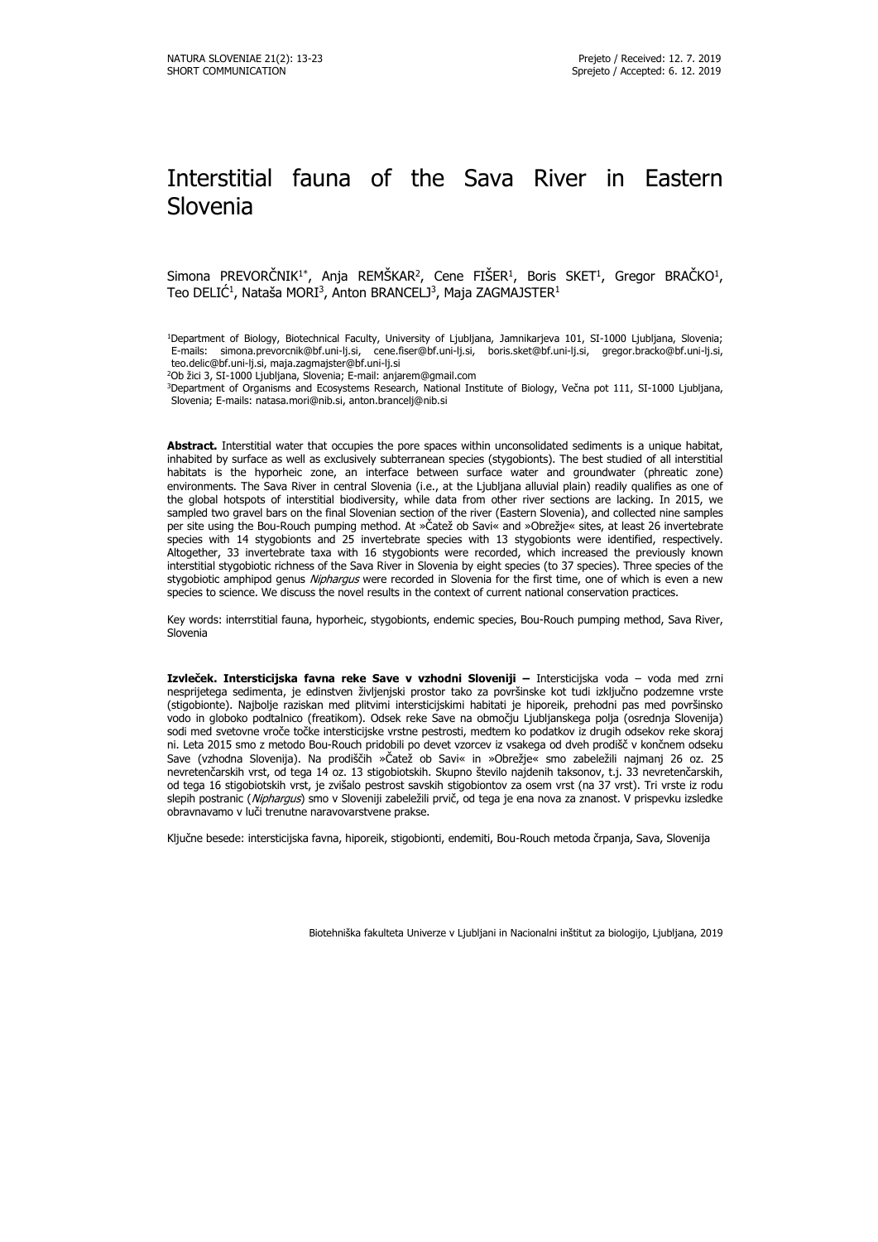# Interstitial fauna of the Sava River in Eastern Slovenia

Simona PREVORCNIK<sup>1\*</sup>, Anja REMSKAR<sup>2</sup>, Cene FISER<sup>1</sup>, Boris SKET<sup>1</sup>, Gregor BRACKO<sup>1</sup>, Teo DELIC<sup>1</sup>, Nataša MORI<sup>3</sup>, Anton BRANCELJ<sup>3</sup>, Maja ZAGMAJSTER<sup>1</sup>

<sup>1</sup>Department of Biology, Biotechnical Faculty, University of Ljubljana, Jamnikarjeva 101, SI-1000 Ljubljana, Slovenia; E-mails: simona.prevorcnik@bf.uni-lj.si, cene.fiser@bf.uni-lj.si, boris.sket@bf.uni-lj.si, gregor.bracko@bf.uni-lj.si, teo.delic@bf.uni-lj.si, maja.zagmajster@bf.uni-lj.si

<sup>2</sup>Ob žici 3, SI-1000 Ljubljana, Slovenia; E-mail: anjarem@gmail.com

<sup>3</sup>Department of Organisms and Ecosystems Research, National Institute of Biology, Večna pot 111, SI-1000 Ljubljana, Slovenia; E-mails: natasa.mori@nib.si, anton.brancelj@nib.si

**Abstract.** Interstitial water that occupies the pore spaces within unconsolidated sediments is a unique habitat, inhabited by surface as well as exclusively subterranean species (stygobionts). The best studied of all interstitial habitats is the hyporheic zone, an interface between surface water and groundwater (phreatic zone) environments. The Sava River in central Slovenia (i.e., at the Ljubljana alluvial plain) readily qualifies as one of the global hotspots of interstitial biodiversity, while data from other river sections are lacking. In 2015, we sampled two gravel bars on the final Slovenian section of the river (Eastern Slovenia), and collected nine samples per site using the Bou-Rouch pumping method. At »Čatež ob Savi« and »Obrežje« sites, at least 26 invertebrate species with 14 stygobionts and 25 invertebrate species with 13 stygobionts were identified, respectively. Altogether, 33 invertebrate taxa with 16 stygobionts were recorded, which increased the previously known interstitial stygobiotic richness of the Sava River in Slovenia by eight species (to 37 species). Three species of the stygobiotic amphipod genus Niphargus were recorded in Slovenia for the first time, one of which is even a new species to science. We discuss the novel results in the context of current national conservation practices.

Key words: interrstitial fauna, hyporheic, stygobionts, endemic species, Bou-Rouch pumping method, Sava River, Slovenia

**Izvleček. Intersticijska favna reke Save v vzhodni Sloveniji –** Intersticijska voda – voda med zrni nesprijetega sedimenta, je edinstven življenjski prostor tako za površinske kot tudi izključno podzemne vrste (stigobionte). Najbolje raziskan med plitvimi intersticijskimi habitati je hiporeik, prehodni pas med površinsko vodo in globoko podtalnico (freatikom). Odsek reke Save na območju Ljubljanskega polja (osrednja Slovenija) sodi med svetovne vroče točke intersticijske vrstne pestrosti, medtem ko podatkov iz drugih odsekov reke skoraj ni. Leta 2015 smo z metodo Bou-Rouch pridobili po devet vzorcev iz vsakega od dveh prodišč v končnem odseku Save (vzhodna Slovenija). Na prodiščih »Čatež ob Savi« in »Obrežje« smo zabeležili najmanj 26 oz. 25 nevretenčarskih vrst, od tega 14 oz. 13 stigobiotskih. Skupno število najdenih taksonov, t.j. 33 nevretenčarskih, od tega 16 stigobiotskih vrst, je zvišalo pestrost savskih stigobiontov za osem vrst (na 37 vrst). Tri vrste iz rodu slepih postranic (Niphargus) smo v Sloveniji zabeležili prvič, od tega je ena nova za znanost. V prispevku izsledke obravnavamo v luči trenutne naravovarstvene prakse.

Ključne besede: intersticijska favna, hiporeik, stigobionti, endemiti, Bou-Rouch metoda črpanja, Sava, Slovenija

Biotehniška fakulteta Univerze v Ljubljani in Nacionalni inštitut za biologijo, Ljubljana, 2019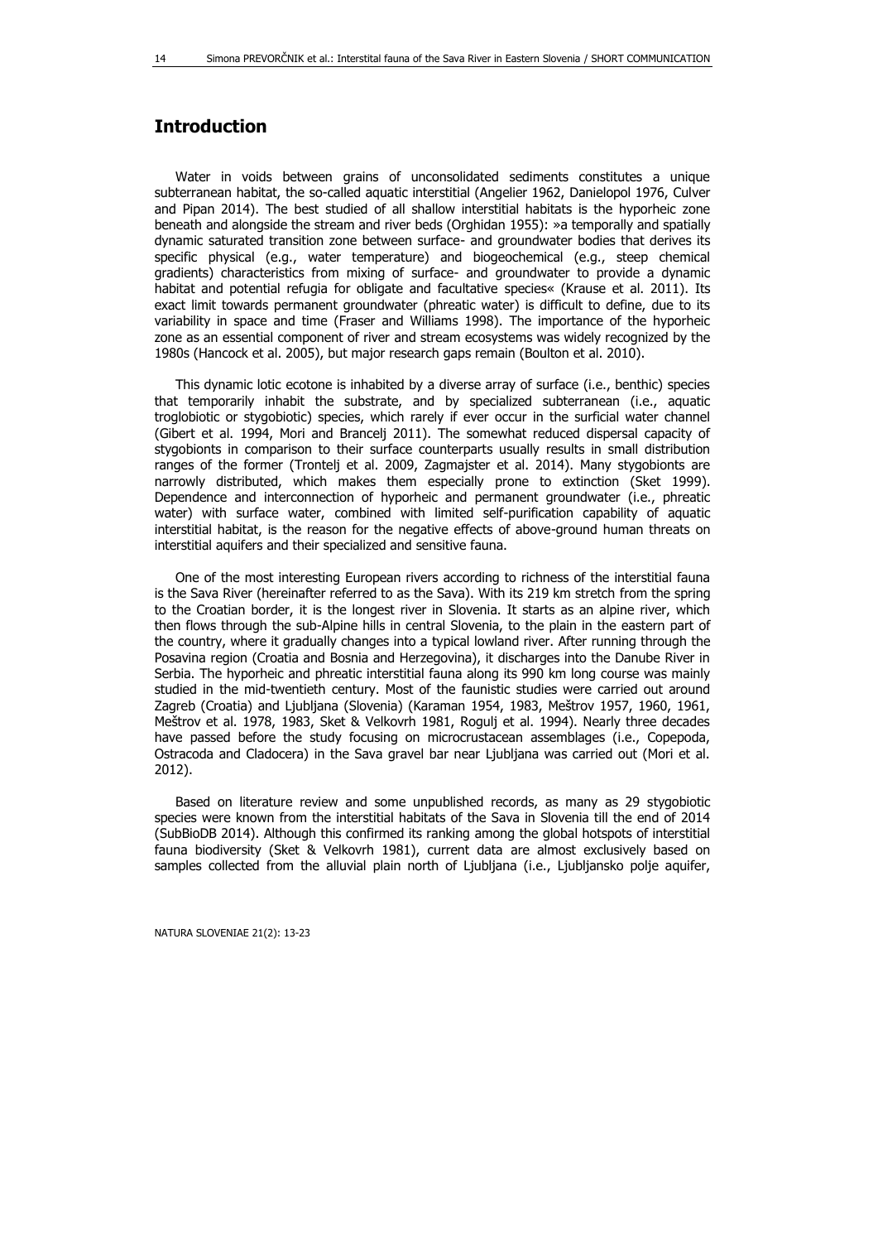## **Introduction**

Water in voids between grains of unconsolidated sediments constitutes a unique subterranean habitat, the so-called aquatic interstitial (Angelier 1962, Danielopol 1976, Culver and Pipan 2014). The best studied of all shallow interstitial habitats is the hyporheic zone beneath and alongside the stream and river beds (Orghidan 1955): »a temporally and spatially dynamic saturated transition zone between surface- and groundwater bodies that derives its specific physical (e.g., water temperature) and biogeochemical (e.g., steep chemical gradients) characteristics from mixing of surface- and groundwater to provide a dynamic habitat and potential refugia for obligate and facultative species« (Krause et al. 2011). Its exact limit towards permanent groundwater (phreatic water) is difficult to define, due to its variability in space and time (Fraser and Williams 1998). The importance of the hyporheic zone as an essential component of river and stream ecosystems was widely recognized by the 1980s (Hancock et al. 2005), but major research gaps remain (Boulton et al. 2010).

This dynamic lotic ecotone is inhabited by a diverse array of surface (i.e., benthic) species that temporarily inhabit the substrate, and by specialized subterranean (i.e., aquatic troglobiotic or stygobiotic) species, which rarely if ever occur in the surficial water channel (Gibert et al. 1994, Mori and Brancelj 2011). The somewhat reduced dispersal capacity of stygobionts in comparison to their surface counterparts usually results in small distribution ranges of the former (Trontelj et al. 2009, Zagmajster et al. 2014). Many stygobionts are narrowly distributed, which makes them especially prone to extinction (Sket 1999). Dependence and interconnection of hyporheic and permanent groundwater (i.e., phreatic water) with surface water, combined with limited self-purification capability of aquatic interstitial habitat, is the reason for the negative effects of above-ground human threats on interstitial aquifers and their specialized and sensitive fauna.

One of the most interesting European rivers according to richness of the interstitial fauna is the Sava River (hereinafter referred to as the Sava). With its 219 km stretch from the spring to the Croatian border, it is the longest river in Slovenia. It starts as an alpine river, which then flows through the sub-Alpine hills in central Slovenia, to the plain in the eastern part of the country, where it gradually changes into a typical lowland river. After running through the Posavina region (Croatia and Bosnia and Herzegovina), it discharges into the Danube River in Serbia. The hyporheic and phreatic interstitial fauna along its 990 km long course was mainly studied in the mid-twentieth century. Most of the faunistic studies were carried out around Zagreb (Croatia) and Ljubljana (Slovenia) (Karaman 1954, 1983, Meštrov 1957, 1960, 1961, Meštrov et al. 1978, 1983, Sket & Velkovrh 1981, Rogulj et al. 1994). Nearly three decades have passed before the study focusing on microcrustacean assemblages (i.e., Copepoda, Ostracoda and Cladocera) in the Sava gravel bar near Ljubljana was carried out (Mori et al. 2012).

Based on literature review and some unpublished records, as many as 29 stygobiotic species were known from the interstitial habitats of the Sava in Slovenia till the end of 2014 (SubBioDB 2014). Although this confirmed its ranking among the global hotspots of interstitial fauna biodiversity (Sket & Velkovrh 1981), current data are almost exclusively based on samples collected from the alluvial plain north of Ljubljana (i.e., Ljubljansko polje aquifer,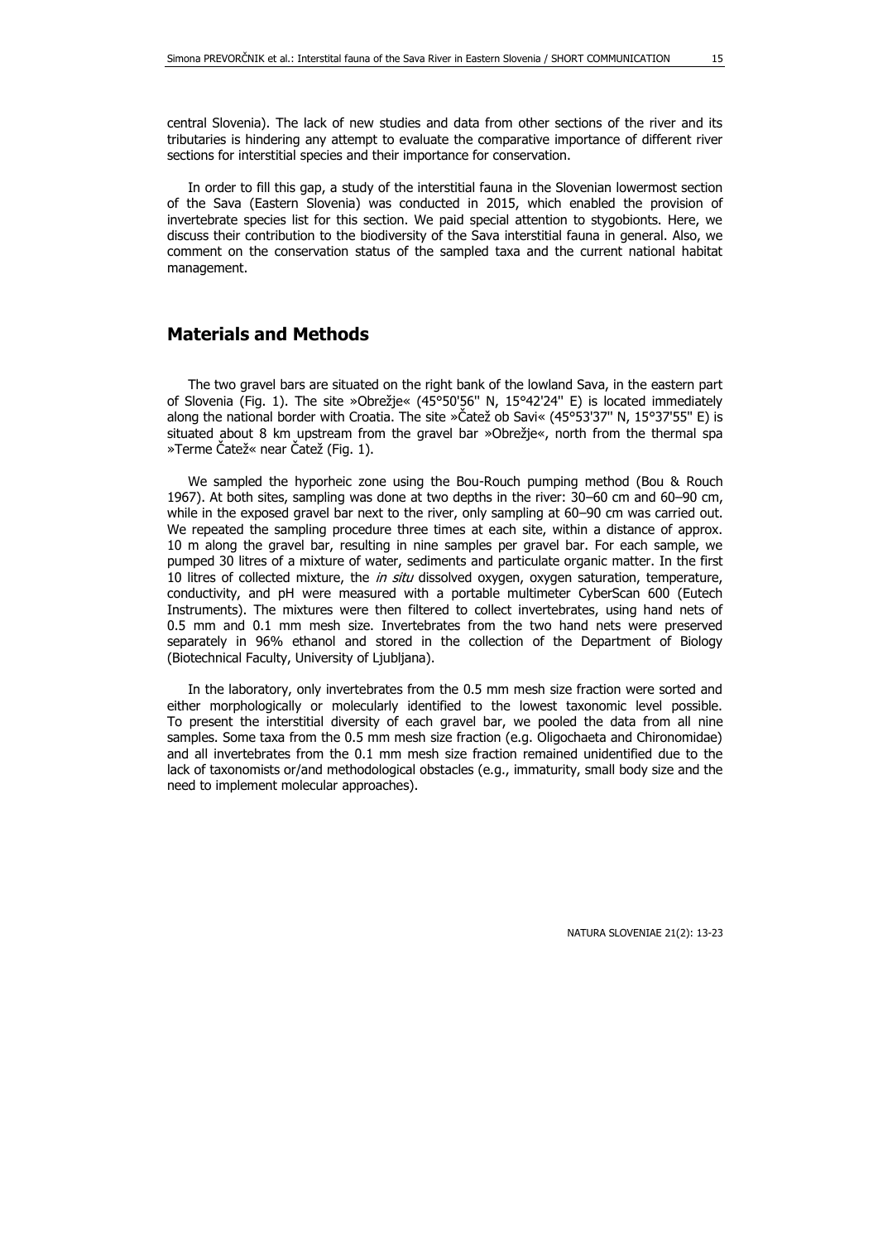In order to fill this gap, a study of the interstitial fauna in the Slovenian lowermost section of the Sava (Eastern Slovenia) was conducted in 2015, which enabled the provision of invertebrate species list for this section. We paid special attention to stygobionts. Here, we discuss their contribution to the biodiversity of the Sava interstitial fauna in general. Also, we comment on the conservation status of the sampled taxa and the current national habitat management.

## **Materials and Methods**

The two gravel bars are situated on the right bank of the lowland Sava, in the eastern part of Slovenia (Fig. 1). The site »Obrežje« (45°50'56'' N, 15°42'24'' E) is located immediately along the national border with Croatia. The site »Čatež ob Savi« (45°53'37'' N, 15°37'55'' E) is situated about 8 km upstream from the gravel bar »Obrežje«, north from the thermal spa »Terme Čatež« near Čatež (Fig. 1).

We sampled the hyporheic zone using the Bou-Rouch pumping method (Bou & Rouch 1967). At both sites, sampling was done at two depths in the river: 30–60 cm and 60–90 cm, while in the exposed gravel bar next to the river, only sampling at 60–90 cm was carried out. We repeated the sampling procedure three times at each site, within a distance of approx. 10 m along the gravel bar, resulting in nine samples per gravel bar. For each sample, we pumped 30 litres of a mixture of water, sediments and particulate organic matter. In the first 10 litres of collected mixture, the in situ dissolved oxygen, oxygen saturation, temperature, conductivity, and pH were measured with a portable multimeter CyberScan 600 (Eutech Instruments). The mixtures were then filtered to collect invertebrates, using hand nets of 0.5 mm and 0.1 mm mesh size. Invertebrates from the two hand nets were preserved separately in 96% ethanol and stored in the collection of the Department of Biology (Biotechnical Faculty, University of Ljubljana).

In the laboratory, only invertebrates from the 0.5 mm mesh size fraction were sorted and either morphologically or molecularly identified to the lowest taxonomic level possible. To present the interstitial diversity of each gravel bar, we pooled the data from all nine samples. Some taxa from the 0.5 mm mesh size fraction (e.g. Oligochaeta and Chironomidae) and all invertebrates from the 0.1 mm mesh size fraction remained unidentified due to the lack of taxonomists or/and methodological obstacles (e.g., immaturity, small body size and the need to implement molecular approaches).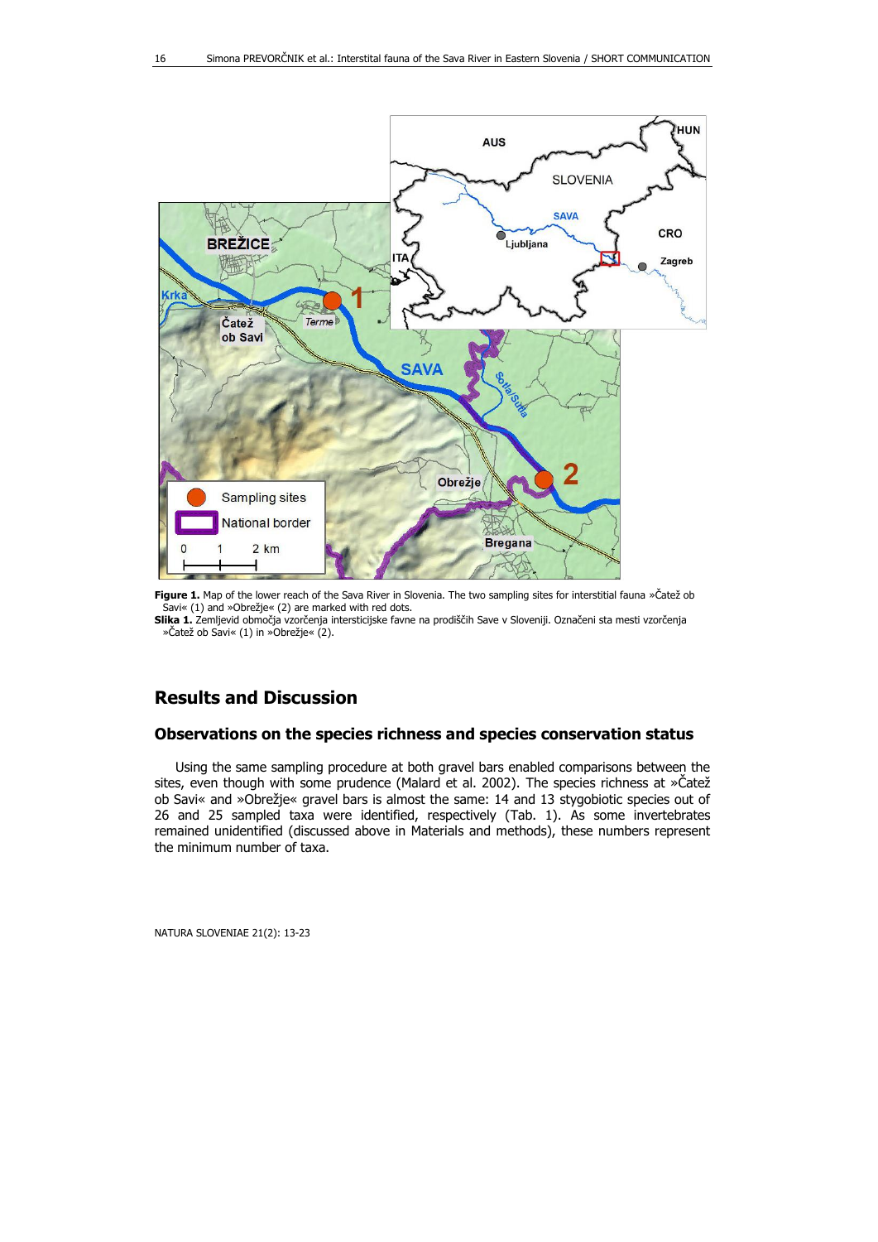

**Figure 1.** Map of the lower reach of the Sava River in Slovenia. The two sampling sites for interstitial fauna »Čatež ob Savi« (1) and »Obrežje« (2) are marked with red dots.

**Slika 1.** Zemljevid območja vzorčenja intersticijske favne na prodiščih Save v Sloveniji. Označeni sta mesti vzorčenja »Čatež ob Savi« (1) in »Obrežje« (2).

## **Results and Discussion**

#### **Observations on the species richness and species conservation status**

Using the same sampling procedure at both gravel bars enabled comparisons between the sites, even though with some prudence (Malard et al. 2002). The species richness at »Čatež ob Savi« and »Obrežje« gravel bars is almost the same: 14 and 13 stygobiotic species out of 26 and 25 sampled taxa were identified, respectively (Tab. 1). As some invertebrates remained unidentified (discussed above in Materials and methods), these numbers represent the minimum number of taxa.

NATURA SLOVENIAE 21(2): 13-23

16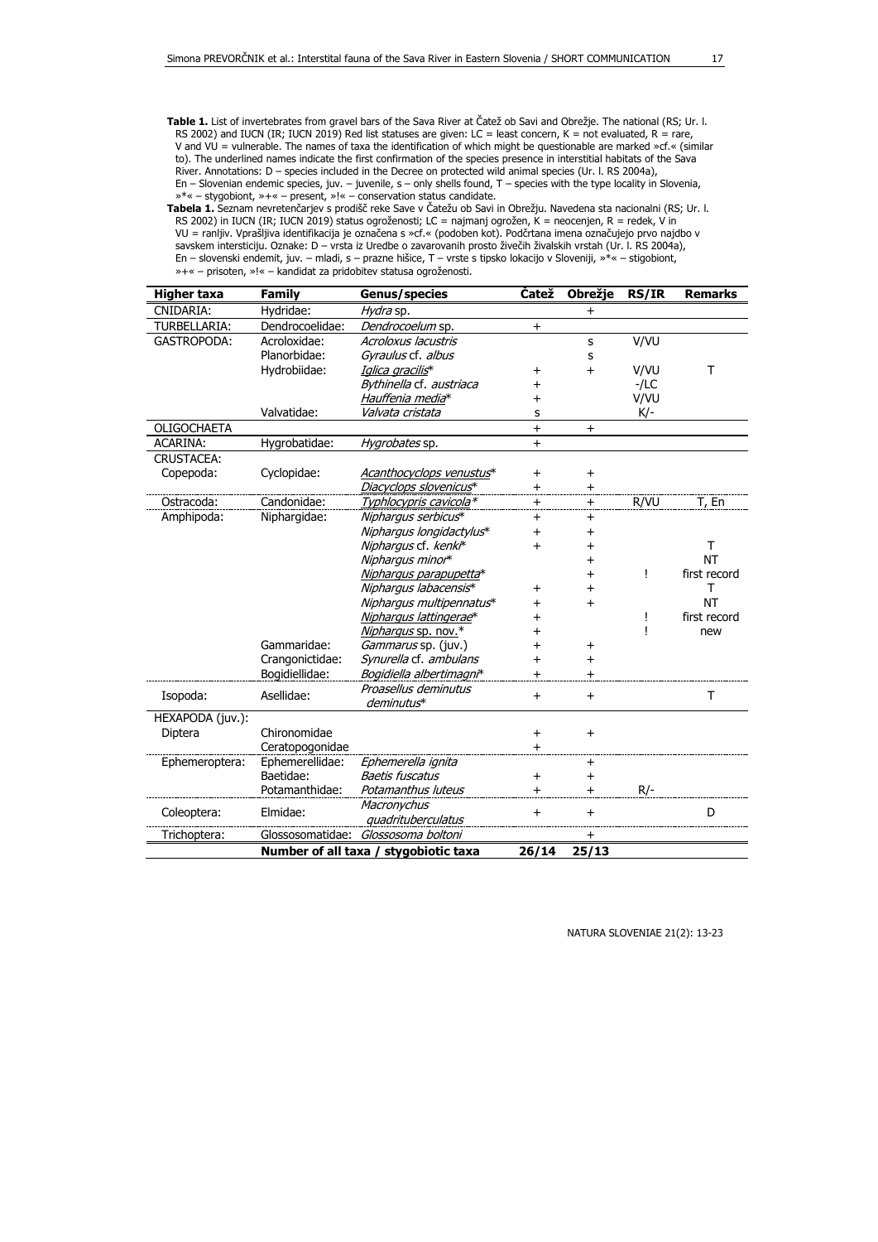**Table 1.** List of invertebrates from gravel bars of the Sava River at Čatež ob Savi and Obrežje. The national (RS; Ur. l. RS 2002) and IUCN (IR; IUCN 2019) Red list statuses are given: LC = least concern, K = not evaluated, R = rare, V and VU = vulnerable. The names of taxa the identification of which might be questionable are marked »cf.« (similar to). The underlined names indicate the first confirmation of the species presence in interstitial habitats of the Sava River. Annotations: D – species included in the Decree on protected wild animal species (Ur. l. RS 2004a), En – Slovenian endemic species, juv. – juvenile, s – only shells found, T – species with the type locality in Slovenia, »\*« – stygobiont, »+« – present, »!« – conservation status candidate.

**Tabela 1.** Seznam nevretenčarjev s prodišč reke Save v Čatežu ob Savi in Obrežju. Navedena sta nacionalni (RS; Ur. l. RS 2002) in IUCN (IR; IUCN 2019) status ogroženosti; LC = najmanj ogrožen, K = neocenjen, R = redek, V in VU = ranljiv. Vprašljiva identifikacija je označena s »cf.« (podoben kot). Podčrtana imena označujejo prvo najdbo v savskem intersticiju. Oznake: D – vrsta iz Uredbe o zavarovanih prosto živečih živalskih vrstah (Ur. l. RS 2004a), En – slovenski endemit, juv. – mladi, s – prazne hišice, T – vrste s tipsko lokacijo v Sloveniji, »\*« – stigobiont, »+« – prisoten, »!« – kandidat za pridobitev statusa ogroženosti.

| Higher taxa                                    | <b>Family</b>    | <b>Genus/species</b>     | <b>Čatež</b>   | Obrežje   | <b>RS/IR</b> | <b>Remarks</b> |
|------------------------------------------------|------------------|--------------------------|----------------|-----------|--------------|----------------|
| CNIDARIA:                                      | Hydridae:        | Hydra sp.                |                | $\ddot{}$ |              |                |
| TURBELLARIA:                                   | Dendrocoelidae:  | Dendrocoelum sp.         | $\ddot{}$      |           |              |                |
| <b>GASTROPODA:</b>                             | Acroloxidae:     | Acroloxus lacustris      |                | S         | V/VU         |                |
|                                                | Planorbidae:     | Gyraulus cf. albus       |                | s         |              |                |
|                                                | Hydrobiidae:     | Iglica gracilis*         | +              | $\ddot{}$ | V/VU         | T              |
|                                                |                  | Bythinella cf. austriaca | $\overline{+}$ |           | $-LC$        |                |
|                                                |                  | Hauffenia media*         | $\ddot{}$      |           | V/VU         |                |
|                                                | Valvatidae:      | Valvata cristata         | s              |           | K/-          |                |
| OLIGOCHAETA                                    |                  |                          | $\ddot{}$      | $\ddot{}$ |              |                |
| <b>ACARINA:</b>                                | Hygrobatidae:    | Hygrobates sp.           | $+$            |           |              |                |
| <b>CRUSTACEA:</b>                              |                  |                          |                |           |              |                |
| Copepoda:                                      | Cyclopidae:      | Acanthocyclops venustus* | $\,{}^+$       | $\ddot{}$ |              |                |
|                                                |                  | Diacyclops slovenicus*   | $\pm$          | $\pm$     |              |                |
| Ostracoda:                                     | Candonidae:      | Typhlocypris cavicola*   | $\ddot{}$      | $\ddot{}$ | R/VU         | T, En          |
| Amphipoda:                                     | Niphargidae:     | Niphargus serbicus*      | $\ddot{}$      | $\ddot{}$ |              |                |
|                                                |                  | Niphargus longidactylus* | $\ddot{}$      | $+$       |              |                |
|                                                |                  | Niphargus cf. kenki*     | $\ddot{}$      | $\ddot{}$ |              | Τ              |
|                                                |                  | Niphargus minor*         |                | $\ddot{}$ |              | <b>NT</b>      |
|                                                |                  | Niphargus parapupetta*   |                | $\ddot{}$ | Ţ            | first record   |
|                                                |                  | Nipharqus labacensis*    | +              | $\ddot{}$ |              | Т              |
|                                                |                  | Nipharqus multipennatus* | $\ddot{}$      | $\ddot{}$ |              | <b>NT</b>      |
|                                                |                  | Nipharqus lattingerae*   | +              |           | Ţ            | first record   |
|                                                |                  | Niphargus sp. nov.*      | $\ddag$        |           | ı            | new            |
|                                                | Gammaridae:      | Gammarus sp. (juv.)      | $\overline{+}$ | $+$       |              |                |
|                                                | Crangonictidae:  | Synurella cf. ambulans   | $\ddot{}$      | $\ddot{}$ |              |                |
|                                                | Bogidiellidae:   | Bogidiella albertimagni* | $+$            | $+$       |              |                |
| Isopoda:                                       | Asellidae:       | Proasellus deminutus     | $+$            | $+$       |              | т              |
|                                                |                  | deminutus*               |                |           |              |                |
| HEXAPODA (juv.):                               |                  |                          |                |           |              |                |
| Diptera                                        | Chironomidae     |                          | $\ddot{}$      | $+$       |              |                |
|                                                | Ceratopogonidae  |                          | $\ddag$        |           |              |                |
| Ephemeroptera:                                 | Ephemerellidae:  | Ephemerella ignita       |                | $\ddot{}$ |              |                |
|                                                | Baetidae:        | <b>Baetis fuscatus</b>   | $\ddot{}$      | $\ddot{}$ |              |                |
|                                                | Potamanthidae:   | Potamanthus luteus       | $\ddot{}$      | $+$       | $R/-$        |                |
| Coleoptera:                                    | Elmidae:         | Macronychus              | $\ddot{}$      | $+$       |              | D              |
|                                                |                  | quadrituberculatus       |                |           |              |                |
| Trichoptera:                                   | Glossosomatidae: | Glossosoma boltoni       |                | $\pm$     |              |                |
| Number of all taxa / stygobiotic taxa<br>26/14 |                  |                          |                | 25/13     |              |                |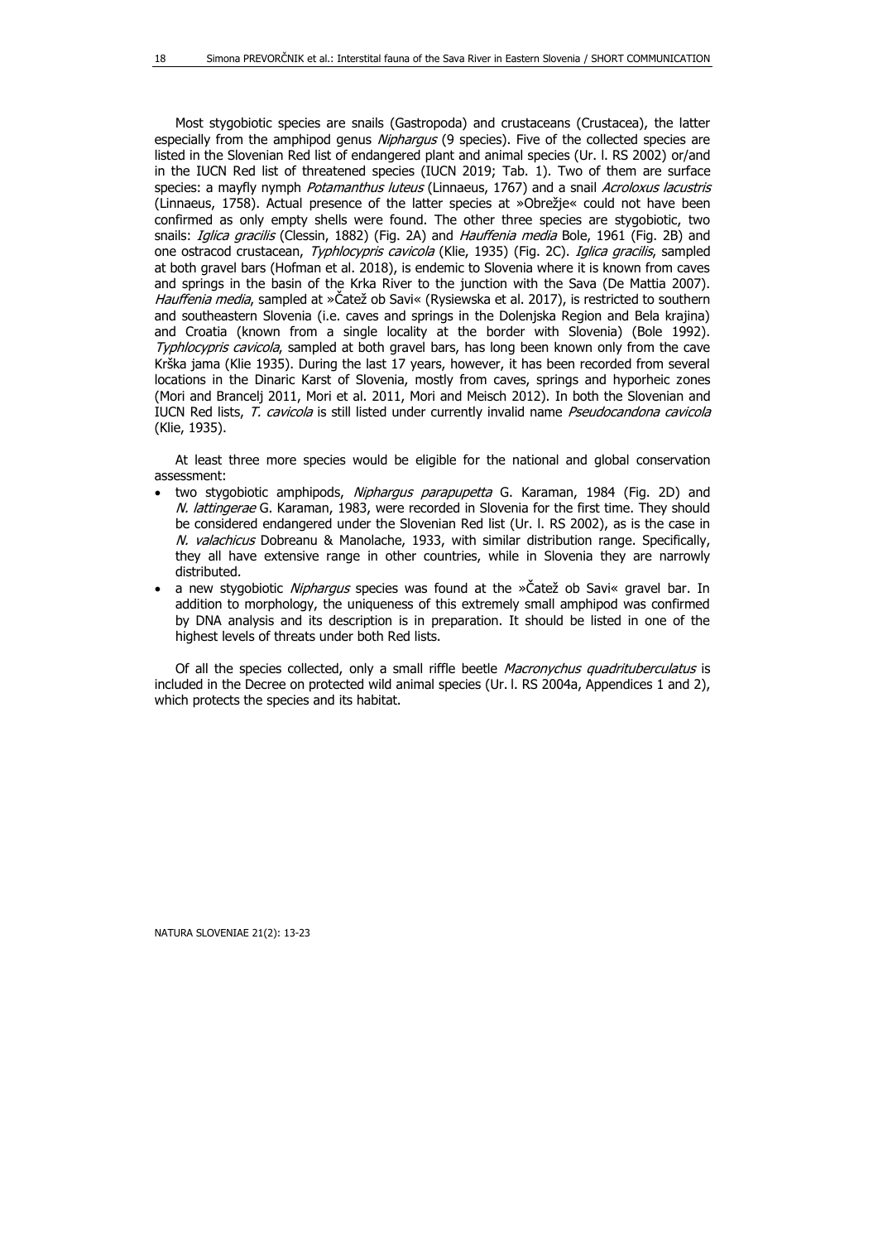Most stygobiotic species are snails (Gastropoda) and crustaceans (Crustacea), the latter especially from the amphipod genus Niphargus (9 species). Five of the collected species are listed in the Slovenian Red list of endangered plant and animal species (Ur. l. RS 2002) or/and in the IUCN Red list of threatened species (IUCN 2019; Tab. 1). Two of them are surface species: a mayfly nymph Potamanthus luteus (Linnaeus, 1767) and a snail Acroloxus lacustris (Linnaeus, 1758). Actual presence of the latter species at »Obrežje« could not have been confirmed as only empty shells were found. The other three species are stygobiotic, two snails: *Iglica gracilis* (Clessin, 1882) (Fig. 2A) and *Hauffenia media* Bole, 1961 (Fig. 2B) and one ostracod crustacean, Typhlocypris cavicola (Klie, 1935) (Fig. 2C). Iglica gracilis, sampled at both gravel bars (Hofman et al. 2018), is endemic to Slovenia where it is known from caves and springs in the basin of the Krka River to the junction with the Sava (De Mattia 2007). Hauffenia media, sampled at »Čatež ob Savi« (Rysiewska et al. 2017), is restricted to southern and southeastern Slovenia (i.e. caves and springs in the Dolenjska Region and Bela krajina) and Croatia (known from a single locality at the border with Slovenia) (Bole 1992). Typhlocypris cavicola, sampled at both gravel bars, has long been known only from the cave Krška jama (Klie 1935). During the last 17 years, however, it has been recorded from several locations in the Dinaric Karst of Slovenia, mostly from caves, springs and hyporheic zones (Mori and Brancelj 2011, Mori et al. 2011, Mori and Meisch 2012). In both the Slovenian and IUCN Red lists, T. cavicola is still listed under currently invalid name Pseudocandona cavicola (Klie, 1935).

At least three more species would be eligible for the national and global conservation assessment:

- two stygobiotic amphipods, Niphargus parapupetta G. Karaman, 1984 (Fig. 2D) and N. lattingerae G. Karaman, 1983, were recorded in Slovenia for the first time. They should be considered endangered under the Slovenian Red list (Ur. l. RS 2002), as is the case in N. valachicus Dobreanu & Manolache, 1933, with similar distribution range. Specifically, they all have extensive range in other countries, while in Slovenia they are narrowly distributed.
- a new stygobiotic *Niphargus* species was found at the »Čatež ob Savi« gravel bar. In addition to morphology, the uniqueness of this extremely small amphipod was confirmed by DNA analysis and its description is in preparation. It should be listed in one of the highest levels of threats under both Red lists.

Of all the species collected, only a small riffle beetle Macronychus quadrituberculatus is included in the Decree on protected wild animal species (Ur. I. RS 2004a, Appendices 1 and 2), which protects the species and its habitat.

18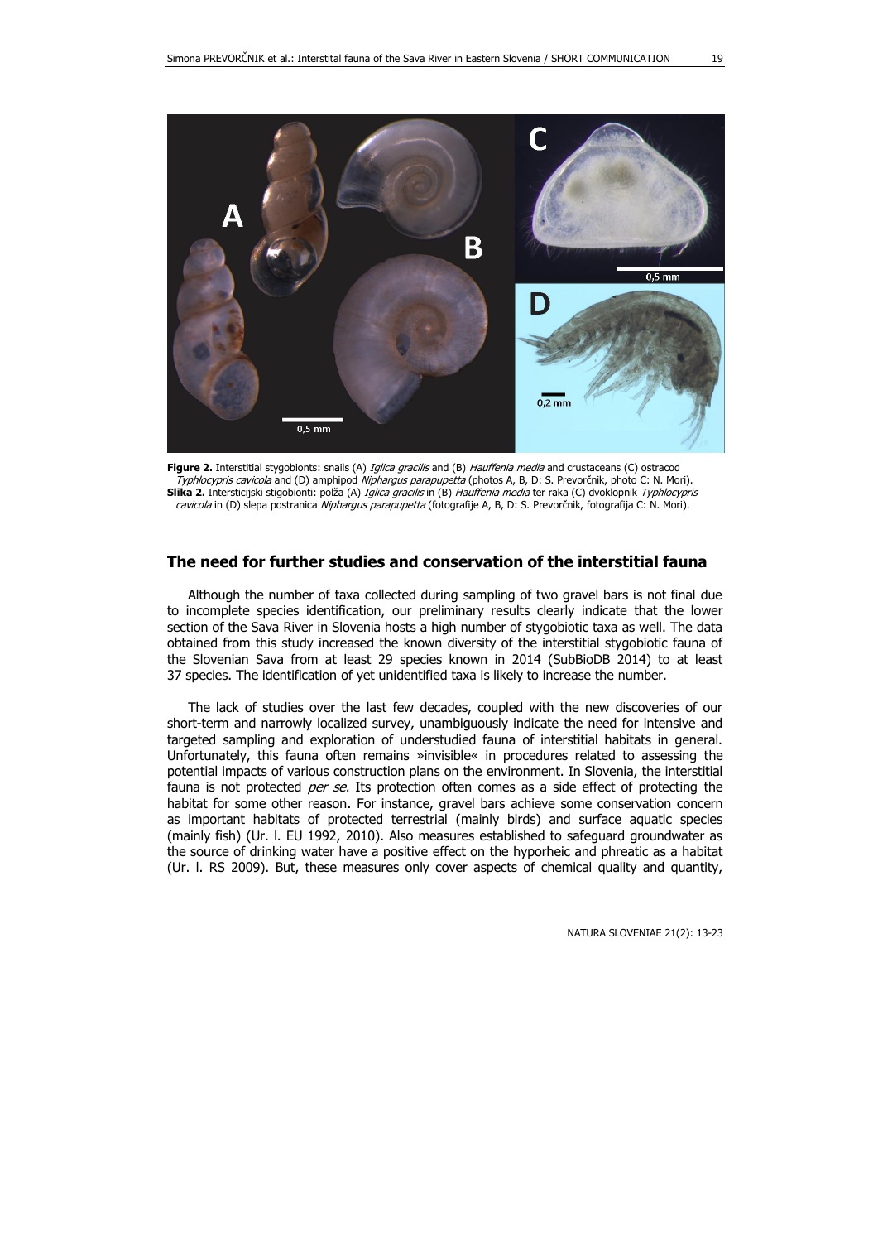

**Figure 2.** Interstitial stygobionts: snails (A) Iglica gracilis and (B) Hauffenia media and crustaceans (C) ostracod Typhlocypris cavicola and (D) amphipod Niphargus parapupetta (photos A, B, D: S. Prevorčnik, photo C: N. Mori). **Slika 2.** Intersticijski stigobionti: polža (A) Iglica gracilis in (B) Hauffenia media ter raka (C) dvoklopnik Typhlocypris cavicola in (D) slepa postranica Niphargus parapupetta (fotografije A, B, D: S. Prevorčnik, fotografija C: N. Mori).

#### **The need for further studies and conservation of the interstitial fauna**

Although the number of taxa collected during sampling of two gravel bars is not final due to incomplete species identification, our preliminary results clearly indicate that the lower section of the Sava River in Slovenia hosts a high number of stygobiotic taxa as well. The data obtained from this study increased the known diversity of the interstitial stygobiotic fauna of the Slovenian Sava from at least 29 species known in 2014 (SubBioDB 2014) to at least 37 species. The identification of yet unidentified taxa is likely to increase the number.

The lack of studies over the last few decades, coupled with the new discoveries of our short-term and narrowly localized survey, unambiguously indicate the need for intensive and targeted sampling and exploration of understudied fauna of interstitial habitats in general. Unfortunately, this fauna often remains »invisible« in procedures related to assessing the potential impacts of various construction plans on the environment. In Slovenia, the interstitial fauna is not protected *per se*. Its protection often comes as a side effect of protecting the habitat for some other reason. For instance, gravel bars achieve some conservation concern as important habitats of protected terrestrial (mainly birds) and surface aquatic species (mainly fish) (Ur. l. EU 1992, 2010). Also measures established to safeguard groundwater as the source of drinking water have a positive effect on the hyporheic and phreatic as a habitat (Ur. l. RS 2009). But, these measures only cover aspects of chemical quality and quantity,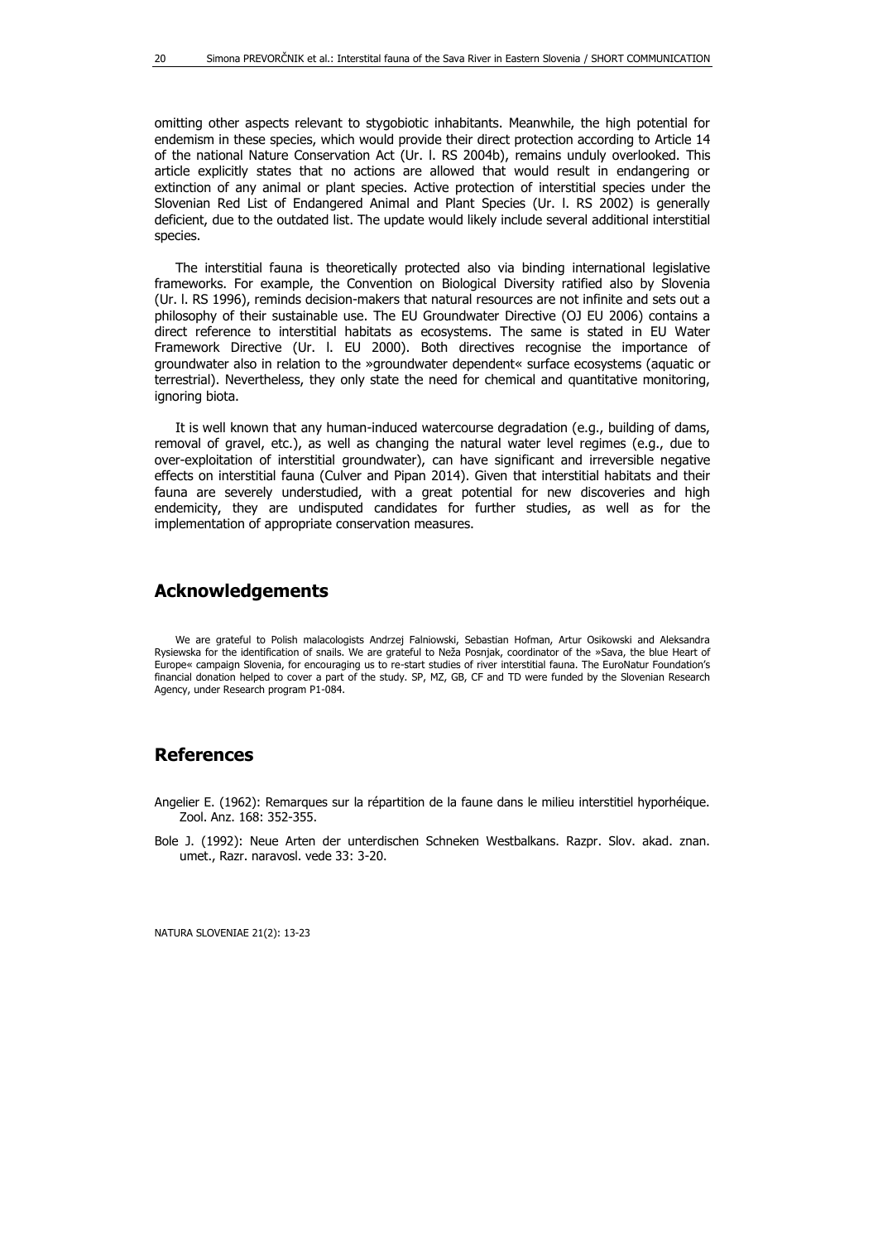omitting other aspects relevant to stygobiotic inhabitants. Meanwhile, the high potential for endemism in these species, which would provide their direct protection according to Article 14 of the national Nature Conservation Act (Ur. l. RS 2004b), remains unduly overlooked. This article explicitly states that no actions are allowed that would result in endangering or extinction of any animal or plant species. Active protection of interstitial species under the Slovenian Red List of Endangered Animal and Plant Species (Ur. l. RS 2002) is generally deficient, due to the outdated list. The update would likely include several additional interstitial species.

The interstitial fauna is theoretically protected also via binding international legislative frameworks. For example, the Convention on Biological Diversity ratified also by Slovenia (Ur. l. RS 1996), reminds decision-makers that natural resources are not infinite and sets out a philosophy of their sustainable use. The EU Groundwater Directive (OJ EU 2006) contains a direct reference to interstitial habitats as ecosystems. The same is stated in EU Water Framework Directive (Ur. l. EU 2000). Both directives recognise the importance of groundwater also in relation to the »groundwater dependent« surface ecosystems (aquatic or terrestrial). Nevertheless, they only state the need for chemical and quantitative monitoring, ignoring biota.

It is well known that any human-induced watercourse degradation (e.g., building of dams, removal of gravel, etc.), as well as changing the natural water level regimes (e.g., due to over-exploitation of interstitial groundwater), can have significant and irreversible negative effects on interstitial fauna (Culver and Pipan 2014). Given that interstitial habitats and their fauna are severely understudied, with a great potential for new discoveries and high endemicity, they are undisputed candidates for further studies, as well as for the implementation of appropriate conservation measures.

#### **Acknowledgements**

We are grateful to Polish malacologists Andrzej Falniowski, Sebastian Hofman, Artur Osikowski and Aleksandra Rysiewska for the identification of snails. We are grateful to Neža Posnjak, coordinator of the »Sava, the blue Heart of Europe« campaign Slovenia, for encouraging us to re-start studies of river interstitial fauna. The EuroNatur Foundation's financial donation helped to cover a part of the study. SP, MZ, GB, CF and TD were funded by the Slovenian Research Agency, under Research program P1-084.

### **References**

- Angelier E. (1962): Remarques sur la répartition de la faune dans le milieu interstitiel hyporhéique. Zool. Anz. 168: 352-355.
- Bole J. (1992): Neue Arten der unterdischen Schneken Westbalkans. Razpr. Slov. akad. znan. umet., Razr. naravosl. vede 33: 3-20.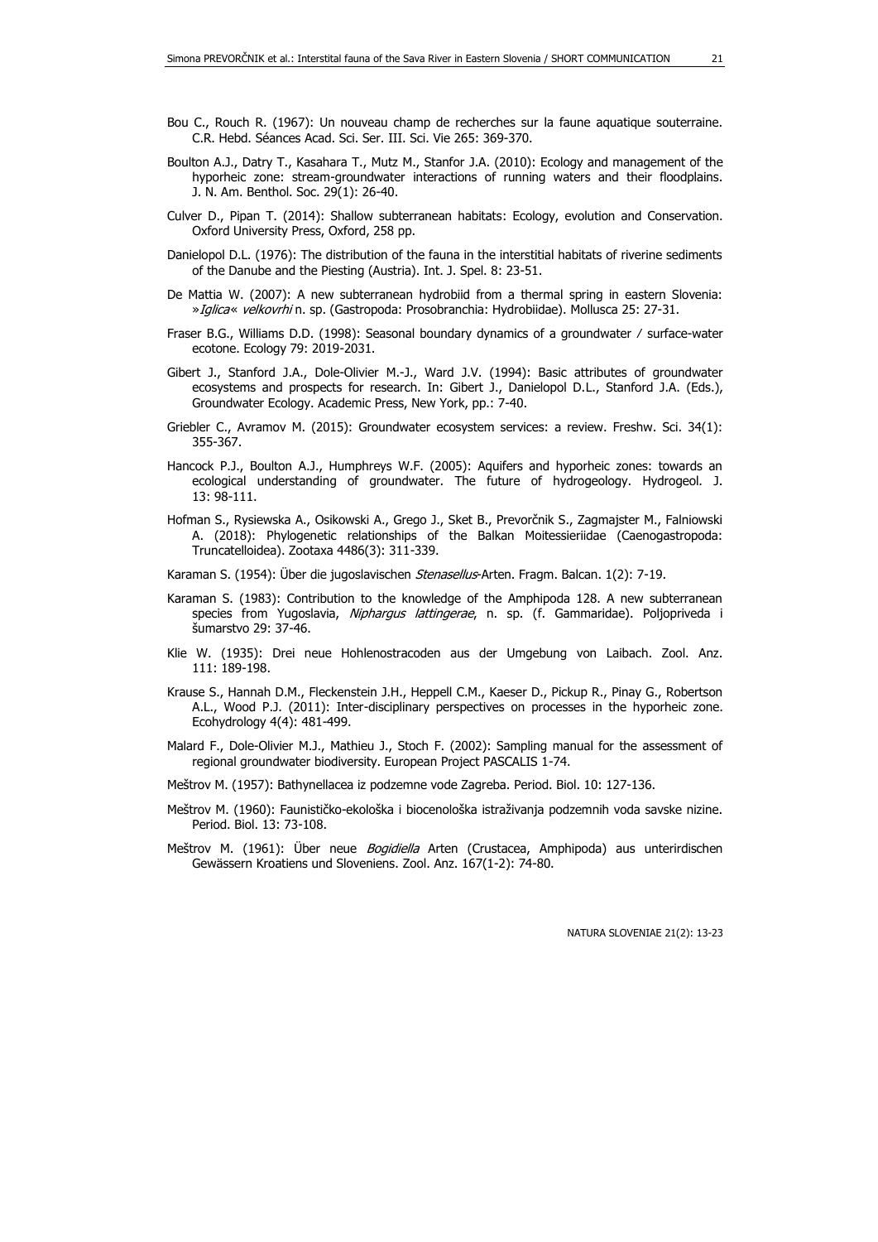- Boulton A.J., Datry T., Kasahara T., Mutz M., Stanfor J.A. (2010): Ecology and management of the hyporheic zone: stream-groundwater interactions of running waters and their floodplains. J. N. Am. Benthol. Soc. 29(1): 26-40.
- Culver D., Pipan T. (2014): Shallow subterranean habitats: Ecology, evolution and Conservation. Oxford University Press, Oxford, 258 pp.
- Danielopol D.L. (1976): The distribution of the fauna in the interstitial habitats of riverine sediments of the Danube and the Piesting (Austria). Int. J. Spel. 8: 23-51.
- De Mattia W. (2007): A new subterranean hydrobiid from a thermal spring in eastern Slovenia: »Iglica« velkovrhi n. sp. (Gastropoda: Prosobranchia: Hydrobiidae). Mollusca 25: 27-31.
- Fraser B.G., Williams D.D. (1998): Seasonal boundary dynamics of a groundwater ⁄ surface-water ecotone. Ecology 79: 2019-2031.
- Gibert J., Stanford J.A., Dole-Olivier M.-J., Ward J.V. (1994): Basic attributes of groundwater ecosystems and prospects for research. In: Gibert J., Danielopol D.L., Stanford J.A. (Eds.), Groundwater Ecology. Academic Press, New York, pp.: 7-40.
- Griebler C., Avramov M. (2015): Groundwater ecosystem services: a review. Freshw. Sci. 34(1): 355-367.
- Hancock P.J., Boulton A.J., Humphreys W.F. (2005): Aquifers and hyporheic zones: towards an ecological understanding of groundwater. The future of hydrogeology. Hydrogeol. J. 13: 98-111.
- Hofman S., Rysiewska A., Osikowski A., Grego J., Sket B., Prevorčnik S., Zagmajster M., Falniowski A. (2018): Phylogenetic relationships of the Balkan Moitessieriidae (Caenogastropoda: Truncatelloidea). Zootaxa 4486(3): 311-339.
- Karaman S. (1954): Über die jugoslavischen *Stenasellus*-Arten. Fragm. Balcan. 1(2): 7-19.
- Karaman S. (1983): Contribution to the knowledge of the Amphipoda 128. A new subterranean species from Yugoslavia, Niphargus lattingerae, n. sp. (f. Gammaridae). Poljopriveda i šumarstvo 29: 37-46.
- Klie W. (1935): Drei neue Hohlenostracoden aus der Umgebung von Laibach. Zool. Anz. 111: 189-198.
- Krause S., Hannah D.M., Fleckenstein J.H., Heppell C.M., Kaeser D., Pickup R., Pinay G., Robertson A.L., Wood P.J. (2011): Inter-disciplinary perspectives on processes in the hyporheic zone. Ecohydrology 4(4): 481-499.
- Malard F., Dole-Olivier M.J., Mathieu J., Stoch F. (2002): Sampling manual for the assessment of regional groundwater biodiversity. European Project PASCALIS 1-74.
- Meštrov M. (1957): Bathynellacea iz podzemne vode Zagreba. Period. Biol. 10: 127-136.
- Meštrov M. (1960): Faunističko-ekološka i biocenološka istraživanja podzemnih voda savske nizine. Period. Biol. 13: 73-108.
- Meštrov M. (1961): Über neue Bogidiella Arten (Crustacea, Amphipoda) aus unterirdischen Gewässern Kroatiens und Sloveniens. Zool. Anz. 167(1-2): 74-80.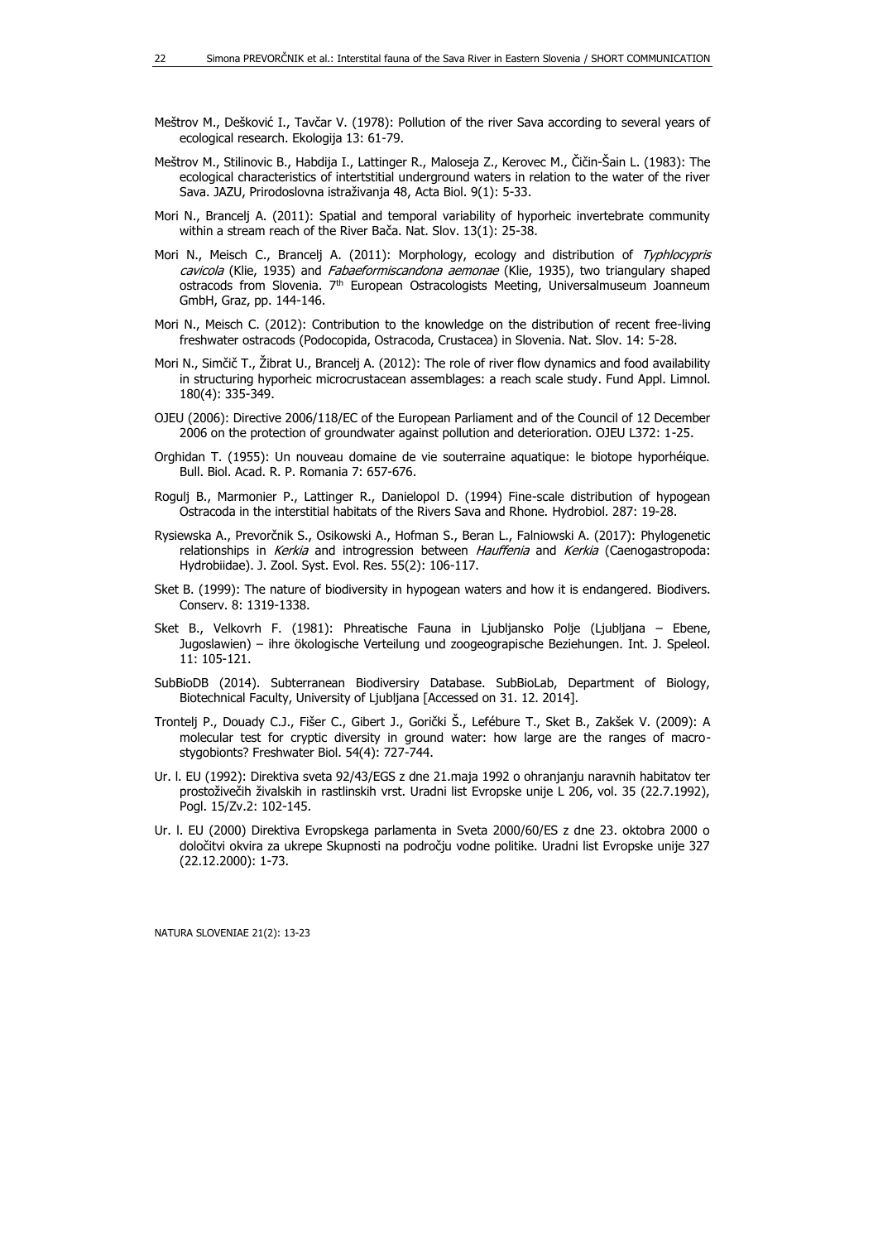- Meštrov M., Dešković I., Tavčar V. (1978): Pollution of the river Sava according to several years of ecological research. Ekologija 13: 61-79.
- Meštrov M., Stilinovic B., Habdija I., Lattinger R., Maloseja Z., Kerovec M., Čičin-Šain L. (1983): The ecological characteristics of intertstitial underground waters in relation to the water of the river Sava. JAZU, Prirodoslovna istraživanja 48, Acta Biol. 9(1): 5-33.
- Mori N., Brancelj A. (2011): Spatial and temporal variability of hyporheic invertebrate community within a stream reach of the River Bača. Nat. Slov. 13(1): 25-38.
- Mori N., Meisch C., Brancelj A. (2011): Morphology, ecology and distribution of Typhlocypris cavicola (Klie, 1935) and Fabaeformiscandona aemonae (Klie, 1935), two triangulary shaped ostracods from Slovenia. 7th European Ostracologists Meeting, Universalmuseum Joanneum GmbH, Graz, pp. 144-146.
- Mori N., Meisch C. (2012): Contribution to the knowledge on the distribution of recent free-living freshwater ostracods (Podocopida, Ostracoda, Crustacea) in Slovenia. Nat. Slov. 14: 5-28.
- Mori N., Simčič T., Žibrat U., Brancelj A. (2012): The role of river flow dynamics and food availability in structuring hyporheic microcrustacean assemblages: a reach scale study. Fund Appl. Limnol. 180(4): 335-349.
- OJEU (2006): Directive 2006/118/EC of the European Parliament and of the Council of 12 December 2006 on the protection of groundwater against pollution and deterioration. OJEU L372: 1-25.
- Orghidan T. (1955): Un nouveau domaine de vie souterraine aquatique: le biotope hyporhéique. Bull. Biol. Acad. R. P. Romania 7: 657-676.
- Rogulj B., Marmonier P., Lattinger R., Danielopol D. (1994) Fine-scale distribution of hypogean Ostracoda in the interstitial habitats of the Rivers Sava and Rhone. Hydrobiol. 287: 19-28.
- Rysiewska A., Prevorčnik S., Osikowski A., Hofman S., Beran L., Falniowski A. (2017): Phylogenetic relationships in Kerkia and introgression between Hauffenia and Kerkia (Caenogastropoda: Hydrobiidae). J. Zool. Syst. Evol. Res. 55(2): 106-117.
- Sket B. (1999): The nature of biodiversity in hypogean waters and how it is endangered. Biodivers. Conserv. 8: 1319-1338.
- Sket B., Velkovrh F. (1981): Phreatische Fauna in Ljubljansko Polje (Ljubljana Ebene, Jugoslawien) – ihre ökologische Verteilung und zoogeograpische Beziehungen. Int. J. Speleol. 11: 105-121.
- SubBioDB (2014). Subterranean Biodiversiry Database. SubBioLab, Department of Biology, Biotechnical Faculty, University of Ljubljana [Accessed on 31. 12. 2014].
- Trontelj P., Douady C.J., Fišer C., Gibert J., Gorički Š., Lefébure T., Sket B., Zakšek V. (2009): A molecular test for cryptic diversity in ground water: how large are the ranges of macrostygobionts? Freshwater Biol. 54(4): 727-744.
- Ur. l. EU (1992): Direktiva sveta 92/43/EGS z dne 21.maja 1992 o ohranjanju naravnih habitatov ter prostoživečih živalskih in rastlinskih vrst. Uradni list Evropske unije L 206, vol. 35 (22.7.1992), Pogl. 15/Zv.2: 102-145.
- Ur. l. EU (2000) Direktiva Evropskega parlamenta in Sveta 2000/60/ES z dne 23. oktobra 2000 o določitvi okvira za ukrepe Skupnosti na področju vodne politike. Uradni list Evropske unije 327 (22.12.2000): 1-73.